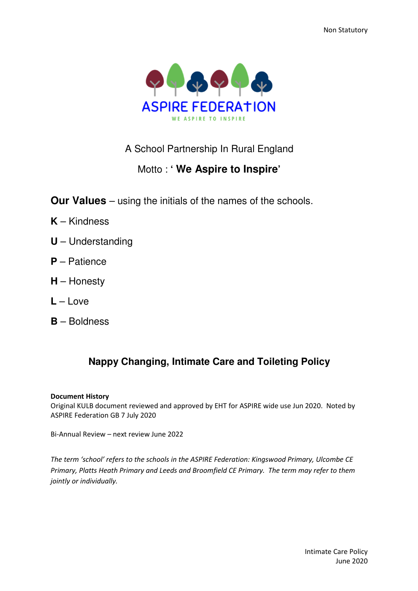Non Statutory



# A School Partnership In Rural England

# Motto : **' We Aspire to Inspire'**

**Our Values** – using the initials of the names of the schools.

- **K** Kindness
- **U** Understanding
- **P** Patience
- **H** Honesty
- **L** Love
- **B** Boldness

# **Nappy Changing, Intimate Care and Toileting Policy**

# Document History

Original KULB document reviewed and approved by EHT for ASPIRE wide use Jun 2020. Noted by ASPIRE Federation GB 7 July 2020

Bi-Annual Review – next review June 2022

The term 'school' refers to the schools in the ASPIRE Federation: Kingswood Primary, Ulcombe CE Primary, Platts Heath Primary and Leeds and Broomfield CE Primary. The term may refer to them jointly or individually.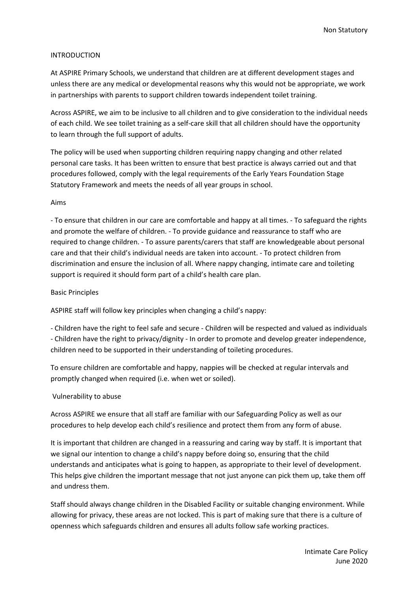### INTRODUCTION

At ASPIRE Primary Schools, we understand that children are at different development stages and unless there are any medical or developmental reasons why this would not be appropriate, we work in partnerships with parents to support children towards independent toilet training.

Across ASPIRE, we aim to be inclusive to all children and to give consideration to the individual needs of each child. We see toilet training as a self-care skill that all children should have the opportunity to learn through the full support of adults.

The policy will be used when supporting children requiring nappy changing and other related personal care tasks. It has been written to ensure that best practice is always carried out and that procedures followed, comply with the legal requirements of the Early Years Foundation Stage Statutory Framework and meets the needs of all year groups in school.

# Aims

- To ensure that children in our care are comfortable and happy at all times. - To safeguard the rights and promote the welfare of children. - To provide guidance and reassurance to staff who are required to change children. - To assure parents/carers that staff are knowledgeable about personal care and that their child's individual needs are taken into account. - To protect children from discrimination and ensure the inclusion of all. Where nappy changing, intimate care and toileting support is required it should form part of a child's health care plan.

# Basic Principles

ASPIRE staff will follow key principles when changing a child's nappy:

- Children have the right to feel safe and secure - Children will be respected and valued as individuals - Children have the right to privacy/dignity - In order to promote and develop greater independence, children need to be supported in their understanding of toileting procedures.

To ensure children are comfortable and happy, nappies will be checked at regular intervals and promptly changed when required (i.e. when wet or soiled).

# Vulnerability to abuse

Across ASPIRE we ensure that all staff are familiar with our Safeguarding Policy as well as our procedures to help develop each child's resilience and protect them from any form of abuse.

It is important that children are changed in a reassuring and caring way by staff. It is important that we signal our intention to change a child's nappy before doing so, ensuring that the child understands and anticipates what is going to happen, as appropriate to their level of development. This helps give children the important message that not just anyone can pick them up, take them off and undress them.

Staff should always change children in the Disabled Facility or suitable changing environment. While allowing for privacy, these areas are not locked. This is part of making sure that there is a culture of openness which safeguards children and ensures all adults follow safe working practices.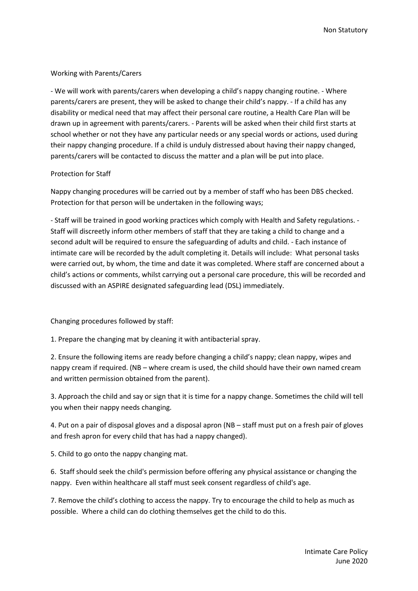# Working with Parents/Carers

- We will work with parents/carers when developing a child's nappy changing routine. - Where parents/carers are present, they will be asked to change their child's nappy. - If a child has any disability or medical need that may affect their personal care routine, a Health Care Plan will be drawn up in agreement with parents/carers. - Parents will be asked when their child first starts at school whether or not they have any particular needs or any special words or actions, used during their nappy changing procedure. If a child is unduly distressed about having their nappy changed, parents/carers will be contacted to discuss the matter and a plan will be put into place.

#### Protection for Staff

Nappy changing procedures will be carried out by a member of staff who has been DBS checked. Protection for that person will be undertaken in the following ways;

- Staff will be trained in good working practices which comply with Health and Safety regulations. - Staff will discreetly inform other members of staff that they are taking a child to change and a second adult will be required to ensure the safeguarding of adults and child. - Each instance of intimate care will be recorded by the adult completing it. Details will include: What personal tasks were carried out, by whom, the time and date it was completed. Where staff are concerned about a child's actions or comments, whilst carrying out a personal care procedure, this will be recorded and discussed with an ASPIRE designated safeguarding lead (DSL) immediately.

Changing procedures followed by staff:

1. Prepare the changing mat by cleaning it with antibacterial spray.

2. Ensure the following items are ready before changing a child's nappy; clean nappy, wipes and nappy cream if required. (NB – where cream is used, the child should have their own named cream and written permission obtained from the parent).

3. Approach the child and say or sign that it is time for a nappy change. Sometimes the child will tell you when their nappy needs changing.

4. Put on a pair of disposal gloves and a disposal apron (NB – staff must put on a fresh pair of gloves and fresh apron for every child that has had a nappy changed).

5. Child to go onto the nappy changing mat.

6. Staff should seek the child's permission before offering any physical assistance or changing the nappy. Even within healthcare all staff must seek consent regardless of child's age.

7. Remove the child's clothing to access the nappy. Try to encourage the child to help as much as possible. Where a child can do clothing themselves get the child to do this.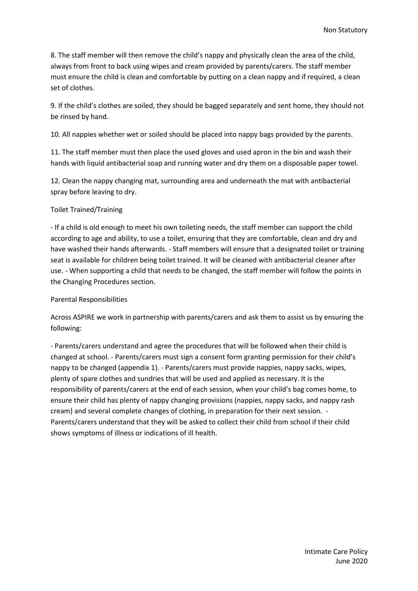8. The staff member will then remove the child's nappy and physically clean the area of the child, always from front to back using wipes and cream provided by parents/carers. The staff member must ensure the child is clean and comfortable by putting on a clean nappy and if required, a clean set of clothes.

9. If the child's clothes are soiled, they should be bagged separately and sent home, they should not be rinsed by hand.

10. All nappies whether wet or soiled should be placed into nappy bags provided by the parents.

11. The staff member must then place the used gloves and used apron in the bin and wash their hands with liquid antibacterial soap and running water and dry them on a disposable paper towel.

12. Clean the nappy changing mat, surrounding area and underneath the mat with antibacterial spray before leaving to dry.

# Toilet Trained/Training

- If a child is old enough to meet his own toileting needs, the staff member can support the child according to age and ability, to use a toilet, ensuring that they are comfortable, clean and dry and have washed their hands afterwards. - Staff members will ensure that a designated toilet or training seat is available for children being toilet trained. It will be cleaned with antibacterial cleaner after use. - When supporting a child that needs to be changed, the staff member will follow the points in the Changing Procedures section.

# Parental Responsibilities

Across ASPIRE we work in partnership with parents/carers and ask them to assist us by ensuring the following:

- Parents/carers understand and agree the procedures that will be followed when their child is changed at school. - Parents/carers must sign a consent form granting permission for their child's nappy to be changed (appendix 1). - Parents/carers must provide nappies, nappy sacks, wipes, plenty of spare clothes and sundries that will be used and applied as necessary. It is the responsibility of parents/carers at the end of each session, when your child's bag comes home, to ensure their child has plenty of nappy changing provisions (nappies, nappy sacks, and nappy rash cream) and several complete changes of clothing, in preparation for their next session. - Parents/carers understand that they will be asked to collect their child from school if their child shows symptoms of illness or indications of ill health.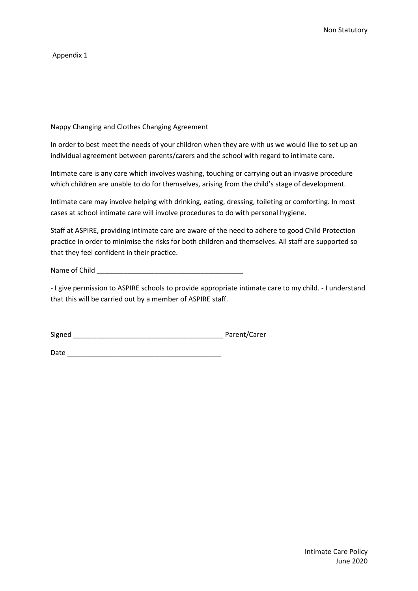Appendix 1

### Nappy Changing and Clothes Changing Agreement

In order to best meet the needs of your children when they are with us we would like to set up an individual agreement between parents/carers and the school with regard to intimate care.

Intimate care is any care which involves washing, touching or carrying out an invasive procedure which children are unable to do for themselves, arising from the child's stage of development.

Intimate care may involve helping with drinking, eating, dressing, toileting or comforting. In most cases at school intimate care will involve procedures to do with personal hygiene.

Staff at ASPIRE, providing intimate care are aware of the need to adhere to good Child Protection practice in order to minimise the risks for both children and themselves. All staff are supported so that they feel confident in their practice.

Name of Child **Name of Child** 

- I give permission to ASPIRE schools to provide appropriate intimate care to my child. - I understand that this will be carried out by a member of ASPIRE staff.

Signed \_\_\_\_\_\_\_\_\_\_\_\_\_\_\_\_\_\_\_\_\_\_\_\_\_\_\_\_\_\_\_\_\_\_\_\_\_\_\_ Parent/Carer

Date \_\_\_\_\_\_\_\_\_\_\_\_\_\_\_\_\_\_\_\_\_\_\_\_\_\_\_\_\_\_\_\_\_\_\_\_\_\_\_\_